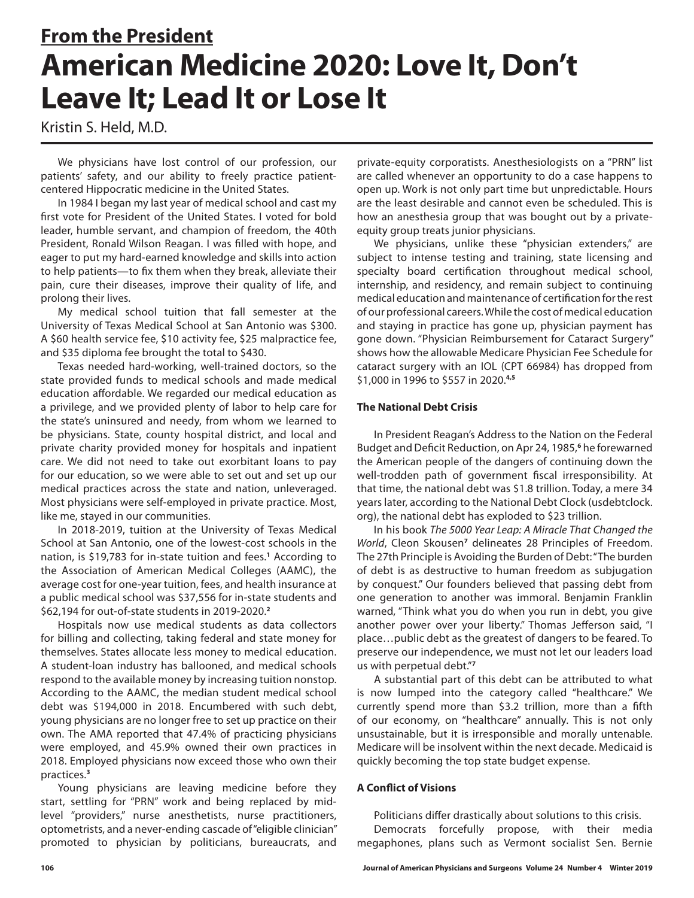# **From the President American Medicine 2020: Love It, Don't Leave It; Lead It or Lose It**

Kristin S. Held, M.D.

We physicians have lost control of our profession, our patients' safety, and our ability to freely practice patientcentered Hippocratic medicine in the United States.

In 1984 I began my last year of medical school and cast my first vote for President of the United States. I voted for bold leader, humble servant, and champion of freedom, the 40th President, Ronald Wilson Reagan. I was filled with hope, and eager to put my hard-earned knowledge and skills into action to help patients—to fix them when they break, alleviate their pain, cure their diseases, improve their quality of life, and prolong their lives.

My medical school tuition that fall semester at the University of Texas Medical School at San Antonio was \$300. A \$60 health service fee, \$10 activity fee, \$25 malpractice fee, and \$35 diploma fee brought the total to \$430.

Texas needed hard-working, well-trained doctors, so the state provided funds to medical schools and made medical education affordable. We regarded our medical education as a privilege, and we provided plenty of labor to help care for the state's uninsured and needy, from whom we learned to be physicians. State, county hospital district, and local and private charity provided money for hospitals and inpatient care. We did not need to take out exorbitant loans to pay for our education, so we were able to set out and set up our medical practices across the state and nation, unleveraged. Most physicians were self-employed in private practice. Most, like me, stayed in our communities.

In 2018-2019, tuition at the University of Texas Medical School at San Antonio, one of the lowest-cost schools in the nation, is \$19,783 for in-state tuition and fees.**<sup>1</sup>** According to the Association of American Medical Colleges (AAMC), the average cost for one-year tuition, fees, and health insurance at a public medical school was \$37,556 for in-state students and \$62,194 for out-of-state students in 2019-2020.**<sup>2</sup>**

Hospitals now use medical students as data collectors for billing and collecting, taking federal and state money for themselves. States allocate less money to medical education. A student-loan industry has ballooned, and medical schools respond to the available money by increasing tuition nonstop. According to the AAMC, the median student medical school debt was \$194,000 in 2018. Encumbered with such debt, young physicians are no longer free to set up practice on their own. The AMA reported that 47.4% of practicing physicians were employed, and 45.9% owned their own practices in 2018. Employed physicians now exceed those who own their practices.**<sup>3</sup>**

Young physicians are leaving medicine before they start, settling for "PRN" work and being replaced by midlevel "providers," nurse anesthetists, nurse practitioners, optometrists, and a never-ending cascade of "eligible clinician" promoted to physician by politicians, bureaucrats, and private-equity corporatists. Anesthesiologists on a "PRN" list are called whenever an opportunity to do a case happens to open up. Work is not only part time but unpredictable. Hours are the least desirable and cannot even be scheduled. This is how an anesthesia group that was bought out by a privateequity group treats junior physicians.

We physicians, unlike these "physician extenders," are subject to intense testing and training, state licensing and specialty board certification throughout medical school, internship, and residency, and remain subject to continuing medical education and maintenance of certification for the rest of our professional careers. While the cost of medical education and staying in practice has gone up, physician payment has gone down. "Physician Reimbursement for Cataract Surgery" shows how the allowable Medicare Physician Fee Schedule for cataract surgery with an IOL (CPT 66984) has dropped from \$1,000 in 1996 to \$557 in 2020.**4,5**

## **The National Debt Crisis**

In President Reagan's Address to the Nation on the Federal Budget and Deficit Reduction, on Apr 24, 1985,**<sup>6</sup>** he forewarned the American people of the dangers of continuing down the well-trodden path of government fiscal irresponsibility. At that time, the national debt was \$1.8 trillion. Today, a mere 34 years later, according to the National Debt Clock (usdebtclock. org), the national debt has exploded to \$23 trillion.

In his book *The 5000 Year Leap: A Miracle That Changed the*  World, Cleon Skousen<sup>7</sup> delineates 28 Principles of Freedom. The 27th Principle is Avoiding the Burden of Debt: "The burden of debt is as destructive to human freedom as subjugation by conquest." Our founders believed that passing debt from one generation to another was immoral. Benjamin Franklin warned, "Think what you do when you run in debt, you give another power over your liberty." Thomas Jefferson said, "I place…public debt as the greatest of dangers to be feared. To preserve our independence, we must not let our leaders load us with perpetual debt."**<sup>7</sup>**

A substantial part of this debt can be attributed to what is now lumped into the category called "healthcare." We currently spend more than \$3.2 trillion, more than a fifth of our economy, on "healthcare" annually. This is not only unsustainable, but it is irresponsible and morally untenable. Medicare will be insolvent within the next decade. Medicaid is quickly becoming the top state budget expense.

## **A Conflict of Visions**

Politicians differ drastically about solutions to this crisis.

Democrats forcefully propose, with their media megaphones, plans such as Vermont socialist Sen. Bernie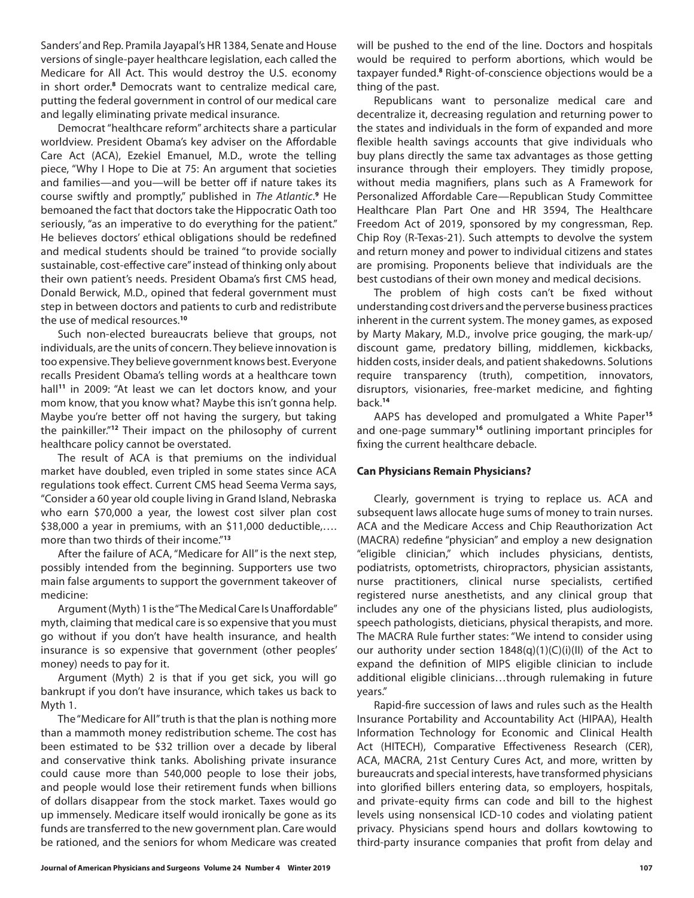Sanders' and Rep. Pramila Jayapal's HR 1384, Senate and House versions of single-payer healthcare legislation, each called the Medicare for All Act. This would destroy the U.S. economy in short order.**<sup>8</sup>** Democrats want to centralize medical care, putting the federal government in control of our medical care and legally eliminating private medical insurance.

Democrat "healthcare reform" architects share a particular worldview. President Obama's key adviser on the Affordable Care Act (ACA), Ezekiel Emanuel, M.D., wrote the telling piece, "Why I Hope to Die at 75: An argument that societies and families—and you—will be better off if nature takes its course swiftly and promptly," published in The Atlantic.<sup>9</sup> He bemoaned the fact that doctors take the Hippocratic Oath too seriously, "as an imperative to do everything for the patient." He believes doctors' ethical obligations should be redefined and medical students should be trained "to provide socially sustainable, cost-effective care" instead of thinking only about their own patient's needs. President Obama's first CMS head, Donald Berwick, M.D., opined that federal government must step in between doctors and patients to curb and redistribute the use of medical resources.**<sup>10</sup>**

Such non-elected bureaucrats believe that groups, not individuals, are the units of concern. They believe innovation is too expensive. They believe government knows best. Everyone recalls President Obama's telling words at a healthcare town hall**<sup>11</sup>** in 2009: "At least we can let doctors know, and your mom know, that you know what? Maybe this isn't gonna help. Maybe you're better off not having the surgery, but taking the painkiller."**<sup>12</sup>** Their impact on the philosophy of current healthcare policy cannot be overstated.

The result of ACA is that premiums on the individual market have doubled, even tripled in some states since ACA regulations took effect. Current CMS head Seema Verma says, "Consider a 60 year old couple living in Grand Island, Nebraska who earn \$70,000 a year, the lowest cost silver plan cost \$38,000 a year in premiums, with an \$11,000 deductible,…. more than two thirds of their income."**<sup>13</sup>**

After the failure of ACA, "Medicare for All" is the next step, possibly intended from the beginning. Supporters use two main false arguments to support the government takeover of medicine:

Argument (Myth) 1 is the "The Medical Care Is Unaffordable" myth, claiming that medical care is so expensive that you must go without if you don't have health insurance, and health insurance is so expensive that government (other peoples' money) needs to pay for it.

Argument (Myth) 2 is that if you get sick, you will go bankrupt if you don't have insurance, which takes us back to Myth 1.

The "Medicare for All" truth is that the plan is nothing more than a mammoth money redistribution scheme. The cost has been estimated to be \$32 trillion over a decade by liberal and conservative think tanks. Abolishing private insurance could cause more than 540,000 people to lose their jobs, and people would lose their retirement funds when billions of dollars disappear from the stock market. Taxes would go up immensely. Medicare itself would ironically be gone as its funds are transferred to the new government plan. Care would be rationed, and the seniors for whom Medicare was created

will be pushed to the end of the line. Doctors and hospitals would be required to perform abortions, which would be taxpayer funded.**<sup>8</sup>** Right-of-conscience objections would be a thing of the past.

Republicans want to personalize medical care and decentralize it, decreasing regulation and returning power to the states and individuals in the form of expanded and more flexible health savings accounts that give individuals who buy plans directly the same tax advantages as those getting insurance through their employers. They timidly propose, without media magnifiers, plans such as A Framework for Personalized Affordable Care—Republican Study Committee Healthcare Plan Part One and HR 3594, The Healthcare Freedom Act of 2019, sponsored by my congressman, Rep. Chip Roy (R-Texas-21). Such attempts to devolve the system and return money and power to individual citizens and states are promising. Proponents believe that individuals are the best custodians of their own money and medical decisions.

The problem of high costs can't be fixed without understanding cost drivers and the perverse business practices inherent in the current system. The money games, as exposed by Marty Makary, M.D., involve price gouging, the mark-up/ discount game, predatory billing, middlemen, kickbacks, hidden costs, insider deals, and patient shakedowns. Solutions require transparency (truth), competition, innovators, disruptors, visionaries, free-market medicine, and fighting back.**<sup>14</sup>**

AAPS has developed and promulgated a White Paper**<sup>15</sup>** and one-page summary**<sup>16</sup>** outlining important principles for fixing the current healthcare debacle.

### **Can Physicians Remain Physicians?**

Clearly, government is trying to replace us. ACA and subsequent laws allocate huge sums of money to train nurses. ACA and the Medicare Access and Chip Reauthorization Act (MACRA) redefine "physician" and employ a new designation "eligible clinician," which includes physicians, dentists, podiatrists, optometrists, chiropractors, physician assistants, nurse practitioners, clinical nurse specialists, certified registered nurse anesthetists, and any clinical group that includes any one of the physicians listed, plus audiologists, speech pathologists, dieticians, physical therapists, and more. The MACRA Rule further states: "We intend to consider using our authority under section 1848(q)(1)(C)(i)(II) of the Act to expand the definition of MIPS eligible clinician to include additional eligible clinicians…through rulemaking in future years."

Rapid-fire succession of laws and rules such as the Health Insurance Portability and Accountability Act (HIPAA), Health Information Technology for Economic and Clinical Health Act (HITECH), Comparative Effectiveness Research (CER), ACA, MACRA, 21st Century Cures Act, and more, written by bureaucrats and special interests, have transformed physicians into glorified billers entering data, so employers, hospitals, and private-equity firms can code and bill to the highest levels using nonsensical ICD-10 codes and violating patient privacy. Physicians spend hours and dollars kowtowing to third-party insurance companies that profit from delay and